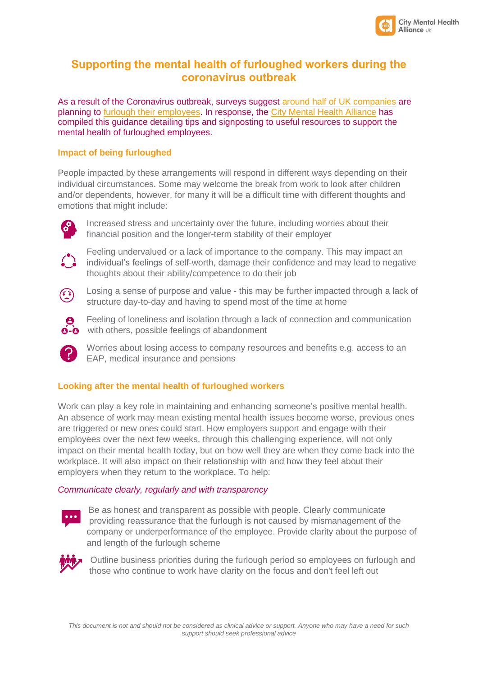

# **Supporting the mental health of furloughed workers during the coronavirus outbreak**

As a result of the Coronavirus outbreak, surveys suggest [around half of UK companies](https://www.ft.com/content/8e2c0615-f2af-4885-a9bf-78deeb94bc80) are planning to [furlough their employees.](https://www.gov.uk/guidance/check-if-you-could-be-covered-by-the-coronavirus-job-retention-scheme) In response, the [City Mental Health Alliance](http://citymha.org.uk/) has compiled this guidance detailing tips and signposting to useful resources to support the mental health of furloughed employees.

# **Impact of being furloughed**

People impacted by these arrangements will respond in different ways depending on their individual circumstances. Some may welcome the break from work to look after children and/or dependents, however, for many it will be a difficult time with different thoughts and emotions that might include:



Increased stress and uncertainty over the future, including worries about their financial position and the longer-term stability of their employer



Feeling undervalued or a lack of importance to the company. This may impact an individual's feelings of self-worth, damage their confidence and may lead to negative thoughts about their ability/competence to do their job



Losing a sense of purpose and value - this may be further impacted through a lack of structure day-to-day and having to spend most of the time at home



Feeling of loneliness and isolation through a lack of connection and communication  $\overrightarrow{e}$  with others, possible feelings of abandonment



Worries about losing access to company resources and benefits e.g. access to an EAP, medical insurance and pensions

## **Looking after the mental health of furloughed workers**

Work can play a key role in maintaining and enhancing someone's positive mental health. An absence of work may mean existing mental health issues become worse, previous ones are triggered or new ones could start. How employers support and engage with their employees over the next few weeks, through this challenging experience, will not only impact on their mental health today, but on how well they are when they come back into the workplace. It will also impact on their relationship with and how they feel about their employers when they return to the workplace. To help:

## *Communicate clearly, regularly and with transparency*



Be as honest and transparent as possible with people. Clearly communicate providing reassurance that the furlough is not caused by mismanagement of the company or underperformance of the employee. Provide clarity about the purpose of and length of the furlough scheme



Outline business priorities during the furlough period so employees on furlough and those who continue to work have clarity on the focus and don't feel left out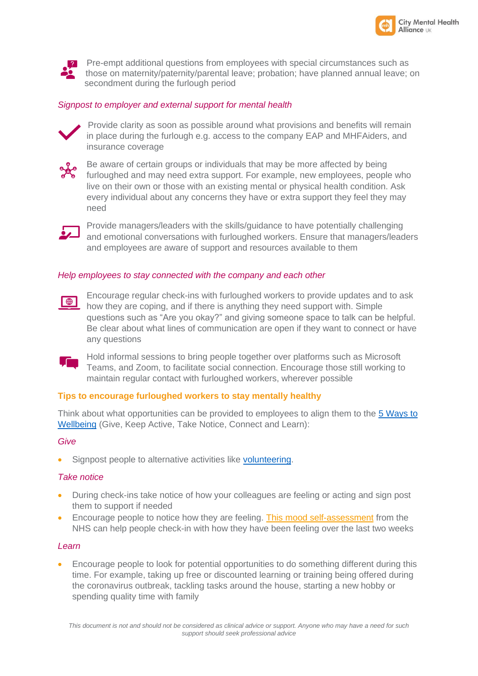



**P.** Pre-empt additional questions from employees with special circumstances such as those on maternity/paternity/parental leave; probation; have planned annual leave; on secondment during the furlough period

### *Signpost to employer and external support for mental health*



Provide clarity as soon as possible around what provisions and benefits will remain in place during the furlough e.g. access to the company EAP and MHFAiders, and insurance coverage



Be aware of certain groups or individuals that may be more affected by being furloughed and may need extra support. For example, new employees, people who live on their own or those with an existing mental or physical health condition. Ask every individual about any concerns they have or extra support they feel they may need



Provide managers/leaders with the skills/guidance to have potentially challenging and emotional conversations with furloughed workers. Ensure that managers/leaders and employees are aware of support and resources available to them

#### *Help employees to stay connected with the company and each other*



Encourage regular check-ins with furloughed workers to provide updates and to ask how they are coping, and if there is anything they need support with. Simple questions such as "Are you okay?" and giving someone space to talk can be helpful. Be clear about what lines of communication are open if they want to connect or have any questions



Hold informal sessions to bring people together over platforms such as Microsoft Teams, and Zoom, to facilitate social connection. Encourage those still working to maintain regular contact with furloughed workers, wherever possible

### **Tips to encourage furloughed workers to stay mentally healthy**

Think about what opportunities can be provided to employees to align them to the [5 Ways to](https://www.nhs.uk/conditions/stress-anxiety-depression/improve-mental-wellbeing/)  [Wellbeing](https://www.nhs.uk/conditions/stress-anxiety-depression/improve-mental-wellbeing/) (Give, Keep Active, Take Notice, Connect and Learn):

### *Give*

Signpost people to alternative activities like [volunteering.](https://www.theguardian.com/society/2020/mar/27/coronavirus-and-volunteering-how-can-i-help-in-the-uk)

### *Take notice*

- During check-ins take notice of how your colleagues are feeling or acting and sign post them to support if needed
- Encourage people to notice how they are feeling. [This mood self-assessment](https://www.nhs.uk/conditions/stress-anxiety-depression/mood-self-assessment/) from the NHS can help people check-in with how they have been feeling over the last two weeks

### *Learn*

• Encourage people to look for potential opportunities to do something different during this time. For example, taking up free or discounted learning or training being offered during the coronavirus outbreak, tackling tasks around the house, starting a new hobby or spending quality time with family